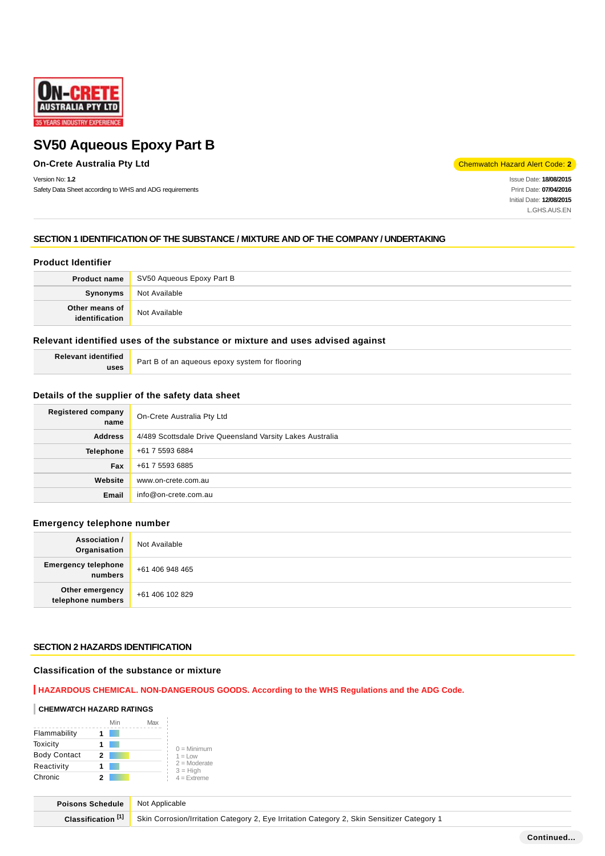

# **On-Crete Australia Pty Ltd** Chemwatch Hazard Alert Code: 2

Version No: **1.2**

Safety Data Sheet according to WHS and ADG requirements

Issue Date: **18/08/2015** Print Date: **07/04/2016** Initial Date: **12/08/2015** L.GHS.AUS.EN

# **SECTION 1 IDENTIFICATION OF THE SUBSTANCE / MIXTURE AND OF THE COMPANY / UNDERTAKING**

### **Product Identifier**

|                                  | <b>Product name</b> SV50 Aqueous Epoxy Part B |
|----------------------------------|-----------------------------------------------|
| Synonyms                         | Not Available                                 |
| Other means of<br>identification | Not Available                                 |

### **Relevant identified uses of the substance or mixture and uses advised against**

| <b>Relevant identified</b> | Part B of an aqueous epoxy system for flooring |
|----------------------------|------------------------------------------------|
| uses                       |                                                |

# **Details of the supplier of the safety data sheet**

| Registered company<br>name | On-Crete Australia Pty Ltd                                |
|----------------------------|-----------------------------------------------------------|
| <b>Address</b>             | 4/489 Scottsdale Drive Queensland Varsity Lakes Australia |
| <b>Telephone</b>           | +61 7 5593 6884                                           |
| Fax                        | +61 7 5593 6885                                           |
| Website                    | www.on-crete.com.au                                       |
| Email                      | info@on-crete.com.au                                      |

# **Emergency telephone number**

| <b>Association /</b><br>Organisation    | Not Available   |
|-----------------------------------------|-----------------|
| <b>Emergency telephone</b><br>  numbers | +61 406 948 465 |
| Other emergency<br>telephone numbers    | +61 406 102 829 |

### **SECTION 2 HAZARDS IDENTIFICATION**

# **Classification of the substance or mixture**

### **HAZARDOUS CHEMICAL. NON-DANGEROUS GOODS. According to the WHS Regulations and the ADG Code.**

### **CHEMWATCH HAZARD RATINGS**

|                     |   | Min | Max |                              |
|---------------------|---|-----|-----|------------------------------|
| Flammability        |   |     |     |                              |
| Toxicity            |   |     |     | $0 =$ Minimum                |
| <b>Body Contact</b> | 2 |     |     | $1 = 1$ $\Omega$             |
| Reactivity          |   |     |     | $2 =$ Moderate<br>$3 = High$ |
| Chronic             |   |     |     | $4 =$ Extreme                |

| <b>Poisons Schedule</b> Not Applicable |                                                                                                                       |
|----------------------------------------|-----------------------------------------------------------------------------------------------------------------------|
|                                        | <b>Classification [1]</b> Skin Corrosion/Irritation Category 2, Eye Irritation Category 2, Skin Sensitizer Category 1 |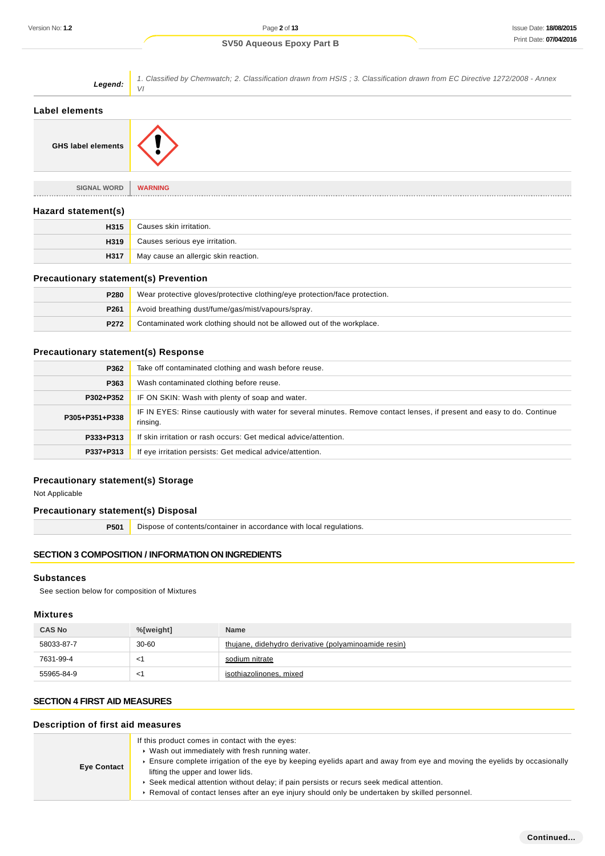| Legend:                   | 1. Classified by Chemwatch; 2. Classification drawn from HSIS; 3. Classification drawn from EC Directive 1272/2008 - Annex<br>VI |
|---------------------------|----------------------------------------------------------------------------------------------------------------------------------|
| Label elements            |                                                                                                                                  |
| <b>GHS label elements</b> |                                                                                                                                  |
| <b>SIGNAL WORD</b>        | <b>WARNING</b>                                                                                                                   |
| Hazard statement(s)       |                                                                                                                                  |
| H315                      | Causes skin irritation.                                                                                                          |
| H319                      | Causes serious eye irritation.                                                                                                   |
| H317                      | May cause an allergic skin reaction.                                                                                             |

# **Precautionary statement(s) Prevention**

| P280             | Wear protective gloves/protective clothing/eye protection/face protection. |
|------------------|----------------------------------------------------------------------------|
| P <sub>261</sub> | Avoid breathing dust/fume/gas/mist/vapours/spray.                          |
| P272             | Contaminated work clothing should not be allowed out of the workplace.     |

# **Precautionary statement(s) Response**

| P362           | Take off contaminated clothing and wash before reuse.                                                                               |
|----------------|-------------------------------------------------------------------------------------------------------------------------------------|
| P363           | Wash contaminated clothing before reuse.                                                                                            |
| P302+P352      | IF ON SKIN: Wash with plenty of soap and water.                                                                                     |
| P305+P351+P338 | IF IN EYES: Rinse cautiously with water for several minutes. Remove contact lenses, if present and easy to do. Continue<br>rinsing. |
| P333+P313      | If skin irritation or rash occurs: Get medical advice/attention.                                                                    |
| P337+P313      | If eye irritation persists: Get medical advice/attention.                                                                           |

# **Precautionary statement(s) Storage**

Not Applicable

# **Precautionary statement(s) Disposal**

**P501** Dispose of contents/container in accordance with local regulations.

# **SECTION 3 COMPOSITION / INFORMATION ON INGREDIENTS**

# **Substances**

See section below for composition of Mixtures

### **Mixtures**

| <b>CAS No</b> | %[weight] | <b>Name</b>                                          |
|---------------|-----------|------------------------------------------------------|
| 58033-87-7    | $30 - 60$ | thujane, didehydro derivative (polyaminoamide resin) |
| 7631-99-4     | $\leq$    | sodium nitrate                                       |
| 55965-84-9    | $\leq$    | isothiazolinones, mixed                              |

# **SECTION 4 FIRST AID MEASURES**

#### **Description of first aid measures**

| <b>Eye Contact</b> | If this product comes in contact with the eyes:<br>▶ Wash out immediately with fresh running water.<br>Ensure complete irrigation of the eye by keeping eyelids apart and away from eye and moving the eyelids by occasionally<br>lifting the upper and lower lids.<br>▶ Seek medical attention without delay; if pain persists or recurs seek medical attention.<br>Removal of contact lenses after an eye injury should only be undertaken by skilled personnel. |
|--------------------|--------------------------------------------------------------------------------------------------------------------------------------------------------------------------------------------------------------------------------------------------------------------------------------------------------------------------------------------------------------------------------------------------------------------------------------------------------------------|
|--------------------|--------------------------------------------------------------------------------------------------------------------------------------------------------------------------------------------------------------------------------------------------------------------------------------------------------------------------------------------------------------------------------------------------------------------------------------------------------------------|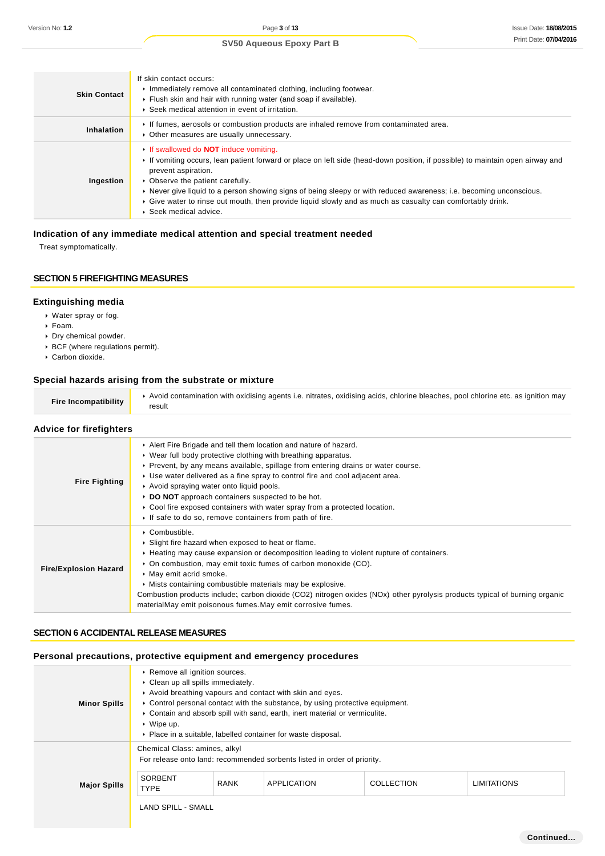| <b>Skin Contact</b> | If skin contact occurs:<br>Immediately remove all contaminated clothing, including footwear.<br>Flush skin and hair with running water (and soap if available).<br>▶ Seek medical attention in event of irritation.                                                                                                                                                                                                                                                                                   |
|---------------------|-------------------------------------------------------------------------------------------------------------------------------------------------------------------------------------------------------------------------------------------------------------------------------------------------------------------------------------------------------------------------------------------------------------------------------------------------------------------------------------------------------|
| Inhalation          | If fumes, aerosols or combustion products are inhaled remove from contaminated area.<br>• Other measures are usually unnecessary.                                                                                                                                                                                                                                                                                                                                                                     |
| Ingestion           | If swallowed do <b>NOT</b> induce vomiting.<br>If vomiting occurs, lean patient forward or place on left side (head-down position, if possible) to maintain open airway and<br>prevent aspiration.<br>• Observe the patient carefully.<br>► Never give liquid to a person showing signs of being sleepy or with reduced awareness; i.e. becoming unconscious.<br>► Give water to rinse out mouth, then provide liquid slowly and as much as casualty can comfortably drink.<br>▶ Seek medical advice. |

# **Indication of any immediate medical attention and special treatment needed**

Treat symptomatically.

# **SECTION 5 FIREFIGHTING MEASURES**

### **Extinguishing media**

- Water spray or fog.
- Foam.
- Dry chemical powder.
- BCF (where regulations permit).
- Carbon dioxide.

# **Special hazards arising from the substrate or mixture**

| Fire Incompatibility | Avoid contamination with oxidising agents i.e. nitrates, oxidising acids, chlorine bleaches, pool chlorine etc. as ignition may<br>result |
|----------------------|-------------------------------------------------------------------------------------------------------------------------------------------|
|                      |                                                                                                                                           |

# **Advice for firefighters**

| <b>Fire Fighting</b>         | Alert Fire Brigade and tell them location and nature of hazard.<br>▶ Wear full body protective clothing with breathing apparatus.<br>► Prevent, by any means available, spillage from entering drains or water course.<br>► Use water delivered as a fine spray to control fire and cool adjacent area.<br>Avoid spraying water onto liquid pools.<br>▶ DO NOT approach containers suspected to be hot.<br>► Cool fire exposed containers with water spray from a protected location.<br>If safe to do so, remove containers from path of fire. |
|------------------------------|-------------------------------------------------------------------------------------------------------------------------------------------------------------------------------------------------------------------------------------------------------------------------------------------------------------------------------------------------------------------------------------------------------------------------------------------------------------------------------------------------------------------------------------------------|
| <b>Fire/Explosion Hazard</b> | $\triangleright$ Combustible.<br>▶ Slight fire hazard when exposed to heat or flame.<br>► Heating may cause expansion or decomposition leading to violent rupture of containers.<br>• On combustion, may emit toxic fumes of carbon monoxide (CO).<br>• May emit acrid smoke.<br>• Mists containing combustible materials may be explosive.<br>Combustion products include; carbon dioxide (CO2) nitrogen oxides (NOx) other pyrolysis products typical of burning organic<br>materialMay emit poisonous fumes. May emit corrosive fumes.       |

# **SECTION 6 ACCIDENTAL RELEASE MEASURES**

### **Personal precautions, protective equipment and emergency procedures**

| <b>Minor Spills</b> | ▶ Remove all ignition sources.<br>Clean up all spills immediately.<br>Avoid breathing vapours and contact with skin and eyes.<br>► Control personal contact with the substance, by using protective equipment.<br>► Contain and absorb spill with sand, earth, inert material or vermiculite.<br>$\cdot$ Wipe up.<br>• Place in a suitable, labelled container for waste disposal. |  |  |  |  |
|---------------------|------------------------------------------------------------------------------------------------------------------------------------------------------------------------------------------------------------------------------------------------------------------------------------------------------------------------------------------------------------------------------------|--|--|--|--|
| <b>Major Spills</b> | Chemical Class: amines, alkyl<br>For release onto land: recommended sorbents listed in order of priority.<br>SORBENT<br><b>RANK</b><br><b>APPLICATION</b><br><b>COLLECTION</b><br><b>LIMITATIONS</b><br><b>TYPE</b><br><b>LAND SPILL - SMALL</b>                                                                                                                                   |  |  |  |  |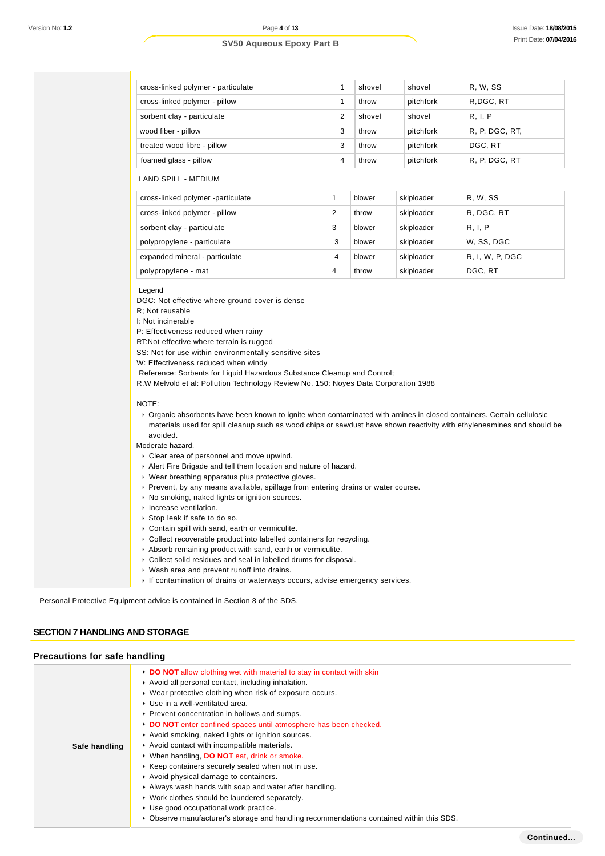| cross-linked polymer - particulate | 1              | shovel | shovel    | R. W. SS       |
|------------------------------------|----------------|--------|-----------|----------------|
| cross-linked polymer - pillow      | 1              | throw  | pitchfork | R, DGC, RT     |
| sorbent clay - particulate         | 2              | shovel | shovel    | R, I, P        |
| wood fiber - pillow                | 3              | throw  | pitchfork | R, P, DGC, RT, |
| treated wood fibre - pillow        | 3              | throw  | pitchfork | DGC. RT        |
| foamed glass - pillow              | $\overline{4}$ | throw  | pitchfork | R, P, DGC, RT  |
| LAND SPILL - MEDIUM                |                |        |           |                |

| cross-linked polymer -particulate |   | blower | skiploader | R, W, SS        |
|-----------------------------------|---|--------|------------|-----------------|
| cross-linked polymer - pillow     |   | throw  | skiploader | R, DGC, RT      |
| sorbent clay - particulate        | 3 | blower | skiploader | R. I. P         |
| polypropylene - particulate       | 3 | blower | skiploader | W. SS, DGC      |
| expanded mineral - particulate    | 4 | blower | skiploader | R. I. W. P. DGC |
| polypropylene - mat               | 4 | throw  | skiploader | DGC, RT         |

#### Legend

DGC: Not effective where ground cover is dense

R; Not reusable

I: Not incinerable

P: Effectiveness reduced when rainy

RT:Not effective where terrain is rugged

SS: Not for use within environmentally sensitive sites

W: Effectiveness reduced when windy

Reference: Sorbents for Liquid Hazardous Substance Cleanup and Control;

R.W Melvold et al: Pollution Technology Review No. 150: Noyes Data Corporation 1988

#### NOTE:

Organic absorbents have been known to ignite when contaminated with amines in closed containers. Certain cellulosic materials used for spill cleanup such as wood chips or sawdust have shown reactivity with ethyleneamines and should be avoided.

Moderate hazard.

- Clear area of personnel and move upwind.
- Alert Fire Brigade and tell them location and nature of hazard.
- Wear breathing apparatus plus protective gloves.
- Prevent, by any means available, spillage from entering drains or water course.
- ▶ No smoking, naked lights or ignition sources.
- **Increase ventilation.**
- Stop leak if safe to do so.
- Contain spill with sand, earth or vermiculite.
- Collect recoverable product into labelled containers for recycling.
- Absorb remaining product with sand, earth or vermiculite.
- Collect solid residues and seal in labelled drums for disposal.
- Wash area and prevent runoff into drains.
- If contamination of drains or waterways occurs, advise emergency services.

Personal Protective Equipment advice is contained in Section 8 of the SDS.

### **SECTION 7 HANDLING AND STORAGE**

#### **Precautions for safe handling**

|               | DO NOT allow clothing wet with material to stay in contact with skin<br>Avoid all personal contact, including inhalation. |
|---------------|---------------------------------------------------------------------------------------------------------------------------|
|               | ▶ Wear protective clothing when risk of exposure occurs.                                                                  |
|               | ▶ Use in a well-ventilated area.                                                                                          |
|               | ▶ Prevent concentration in hollows and sumps.                                                                             |
|               | DO NOT enter confined spaces until atmosphere has been checked.                                                           |
|               | Avoid smoking, naked lights or ignition sources.                                                                          |
| Safe handling | Avoid contact with incompatible materials.                                                                                |
|               | • When handling, DO NOT eat, drink or smoke.                                                                              |
|               | ▶ Keep containers securely sealed when not in use.                                                                        |
|               | Avoid physical damage to containers.                                                                                      |
|               | Always wash hands with soap and water after handling.                                                                     |
|               | ▶ Work clothes should be laundered separately.                                                                            |
|               | ▶ Use good occupational work practice.                                                                                    |
|               | ► Observe manufacturer's storage and handling recommendations contained within this SDS.                                  |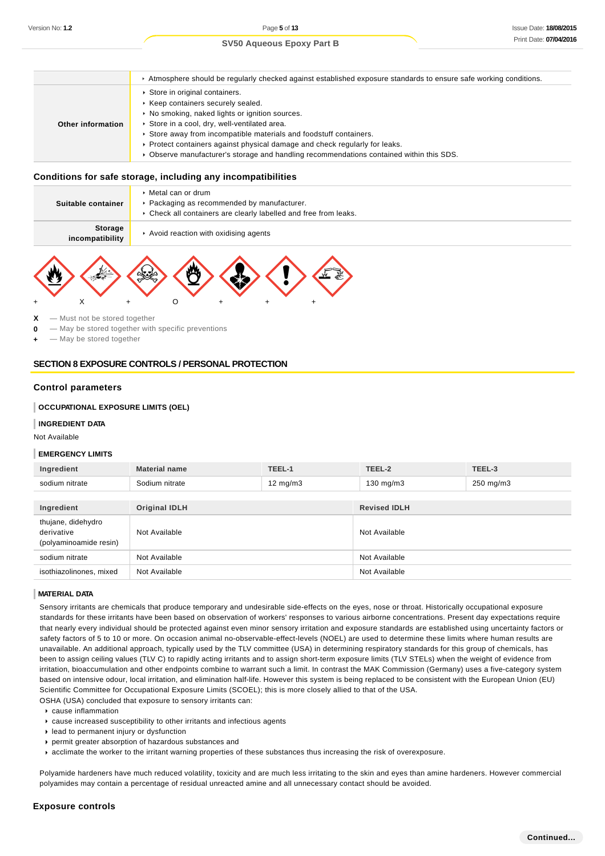### Atmosphere should be regularly checked against established exposure standards to ensure safe working conditions. **Other information** ▶ Store in original containers.  $\triangleright$  Keep containers securely sealed. ▶ No smoking, naked lights or ignition sources. Store in a cool, dry, well-ventilated area. Store away from incompatible materials and foodstuff containers. Protect containers against physical damage and check regularly for leaks. Observe manufacturer's storage and handling recommendations contained within this SDS.

### **Conditions for safe storage, including any incompatibilities**

| Suitable container         | $\triangleright$ Metal can or drum<br>▶ Packaging as recommended by manufacturer.<br>▶ Check all containers are clearly labelled and free from leaks. |
|----------------------------|-------------------------------------------------------------------------------------------------------------------------------------------------------|
| Storage<br>incompatibility | Avoid reaction with oxidising agents                                                                                                                  |
|                            |                                                                                                                                                       |



**0** — May be stored together with specific preventions

 $-$  May be stored together

# **SECTION 8 EXPOSURE CONTROLS / PERSONAL PROTECTION**

### **Control parameters**

### **OCCUPATIONAL EXPOSURE LIMITS (OEL)**

#### **INGREDIENT DATA**

Not Available

#### **EMERGENCY LIMITS**

| Ingredient                                                 | <b>Material name</b> | TEEL-1            | TEEL-2              | TEEL-3    |
|------------------------------------------------------------|----------------------|-------------------|---------------------|-----------|
| sodium nitrate                                             | Sodium nitrate       | $12 \text{ mg/m}$ | 130 mg/m3           | 250 mg/m3 |
|                                                            |                      |                   |                     |           |
| Ingredient                                                 | <b>Original IDLH</b> |                   | <b>Revised IDLH</b> |           |
| thujane, didehydro<br>derivative<br>(polyaminoamide resin) | Not Available        |                   | Not Available       |           |
| sodium nitrate                                             | Not Available        |                   | Not Available       |           |
| isothiazolinones, mixed                                    | Not Available        |                   | Not Available       |           |

### **MATERIAL DATA**

Sensory irritants are chemicals that produce temporary and undesirable side-effects on the eyes, nose or throat. Historically occupational exposure standards for these irritants have been based on observation of workers' responses to various airborne concentrations. Present day expectations require that nearly every individual should be protected against even minor sensory irritation and exposure standards are established using uncertainty factors or safety factors of 5 to 10 or more. On occasion animal no-observable-effect-levels (NOEL) are used to determine these limits where human results are unavailable. An additional approach, typically used by the TLV committee (USA) in determining respiratory standards for this group of chemicals, has been to assign ceiling values (TLV C) to rapidly acting irritants and to assign short-term exposure limits (TLV STELs) when the weight of evidence from irritation, bioaccumulation and other endpoints combine to warrant such a limit. In contrast the MAK Commission (Germany) uses a five-category system based on intensive odour, local irritation, and elimination half-life. However this system is being replaced to be consistent with the European Union (EU) Scientific Committee for Occupational Exposure Limits (SCOEL); this is more closely allied to that of the USA.

OSHA (USA) concluded that exposure to sensory irritants can:

- cause inflammation
- cause increased susceptibility to other irritants and infectious agents
- lead to permanent injury or dysfunction
- permit greater absorption of hazardous substances and
- acclimate the worker to the irritant warning properties of these substances thus increasing the risk of overexposure.

Polyamide hardeners have much reduced volatility, toxicity and are much less irritating to the skin and eyes than amine hardeners. However commercial polyamides may contain a percentage of residual unreacted amine and all unnecessary contact should be avoided.

#### **Exposure controls**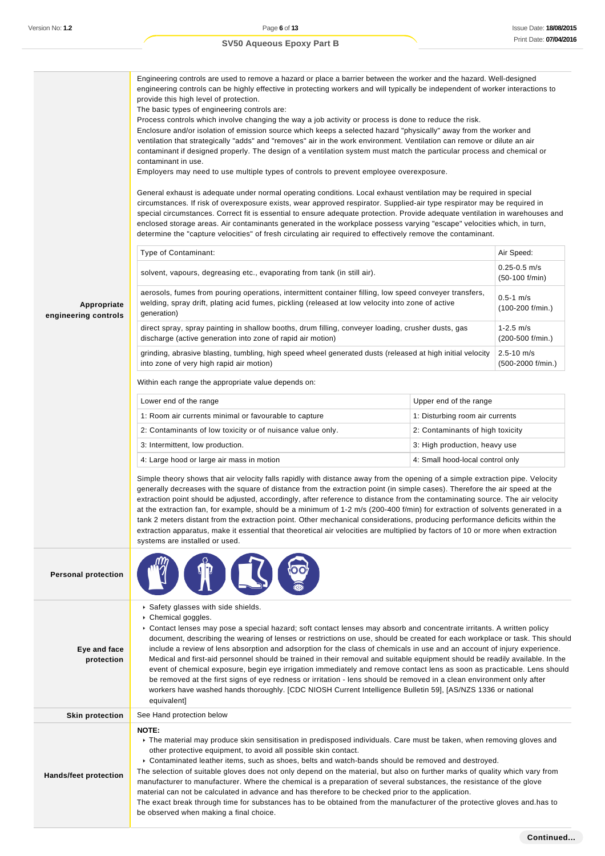|                                     | Engineering controls are used to remove a hazard or place a barrier between the worker and the hazard. Well-designed<br>engineering controls can be highly effective in protecting workers and will typically be independent of worker interactions to<br>provide this high level of protection.<br>The basic types of engineering controls are:<br>Process controls which involve changing the way a job activity or process is done to reduce the risk.<br>Enclosure and/or isolation of emission source which keeps a selected hazard "physically" away from the worker and<br>ventilation that strategically "adds" and "removes" air in the work environment. Ventilation can remove or dilute an air<br>contaminant if designed properly. The design of a ventilation system must match the particular process and chemical or<br>contaminant in use.<br>Employers may need to use multiple types of controls to prevent employee overexposure.<br>General exhaust is adequate under normal operating conditions. Local exhaust ventilation may be required in special<br>circumstances. If risk of overexposure exists, wear approved respirator. Supplied-air type respirator may be required in<br>special circumstances. Correct fit is essential to ensure adequate protection. Provide adequate ventilation in warehouses and<br>enclosed storage areas. Air contaminants generated in the workplace possess varying "escape" velocities which, in turn,<br>determine the "capture velocities" of fresh circulating air required to effectively remove the contaminant. |                                     |                                      |  |  |  |
|-------------------------------------|-------------------------------------------------------------------------------------------------------------------------------------------------------------------------------------------------------------------------------------------------------------------------------------------------------------------------------------------------------------------------------------------------------------------------------------------------------------------------------------------------------------------------------------------------------------------------------------------------------------------------------------------------------------------------------------------------------------------------------------------------------------------------------------------------------------------------------------------------------------------------------------------------------------------------------------------------------------------------------------------------------------------------------------------------------------------------------------------------------------------------------------------------------------------------------------------------------------------------------------------------------------------------------------------------------------------------------------------------------------------------------------------------------------------------------------------------------------------------------------------------------------------------------------------------------------------------------------|-------------------------------------|--------------------------------------|--|--|--|
|                                     | Type of Contaminant:                                                                                                                                                                                                                                                                                                                                                                                                                                                                                                                                                                                                                                                                                                                                                                                                                                                                                                                                                                                                                                                                                                                                                                                                                                                                                                                                                                                                                                                                                                                                                                |                                     | Air Speed:                           |  |  |  |
|                                     | solvent, vapours, degreasing etc., evaporating from tank (in still air).                                                                                                                                                                                                                                                                                                                                                                                                                                                                                                                                                                                                                                                                                                                                                                                                                                                                                                                                                                                                                                                                                                                                                                                                                                                                                                                                                                                                                                                                                                            |                                     | $0.25 - 0.5$ m/s<br>$(50-100 f/min)$ |  |  |  |
| Appropriate<br>engineering controls | aerosols, fumes from pouring operations, intermittent container filling, low speed conveyer transfers,<br>welding, spray drift, plating acid fumes, pickling (released at low velocity into zone of active<br>generation)                                                                                                                                                                                                                                                                                                                                                                                                                                                                                                                                                                                                                                                                                                                                                                                                                                                                                                                                                                                                                                                                                                                                                                                                                                                                                                                                                           |                                     | $0.5 - 1$ m/s<br>$(100-200$ f/min.)  |  |  |  |
|                                     | direct spray, spray painting in shallow booths, drum filling, conveyer loading, crusher dusts, gas<br>discharge (active generation into zone of rapid air motion)                                                                                                                                                                                                                                                                                                                                                                                                                                                                                                                                                                                                                                                                                                                                                                                                                                                                                                                                                                                                                                                                                                                                                                                                                                                                                                                                                                                                                   |                                     | $1 - 2.5$ m/s<br>(200-500 f/min.)    |  |  |  |
|                                     | grinding, abrasive blasting, tumbling, high speed wheel generated dusts (released at high initial velocity<br>into zone of very high rapid air motion)                                                                                                                                                                                                                                                                                                                                                                                                                                                                                                                                                                                                                                                                                                                                                                                                                                                                                                                                                                                                                                                                                                                                                                                                                                                                                                                                                                                                                              | $2.5 - 10$ m/s<br>(500-2000 f/min.) |                                      |  |  |  |
|                                     | Within each range the appropriate value depends on:                                                                                                                                                                                                                                                                                                                                                                                                                                                                                                                                                                                                                                                                                                                                                                                                                                                                                                                                                                                                                                                                                                                                                                                                                                                                                                                                                                                                                                                                                                                                 |                                     |                                      |  |  |  |
|                                     | Lower end of the range                                                                                                                                                                                                                                                                                                                                                                                                                                                                                                                                                                                                                                                                                                                                                                                                                                                                                                                                                                                                                                                                                                                                                                                                                                                                                                                                                                                                                                                                                                                                                              | Upper end of the range              |                                      |  |  |  |
|                                     | 1: Room air currents minimal or favourable to capture                                                                                                                                                                                                                                                                                                                                                                                                                                                                                                                                                                                                                                                                                                                                                                                                                                                                                                                                                                                                                                                                                                                                                                                                                                                                                                                                                                                                                                                                                                                               | 1: Disturbing room air currents     |                                      |  |  |  |
|                                     | 2: Contaminants of low toxicity or of nuisance value only.                                                                                                                                                                                                                                                                                                                                                                                                                                                                                                                                                                                                                                                                                                                                                                                                                                                                                                                                                                                                                                                                                                                                                                                                                                                                                                                                                                                                                                                                                                                          | 2: Contaminants of high toxicity    |                                      |  |  |  |
|                                     | 3: Intermittent, low production.                                                                                                                                                                                                                                                                                                                                                                                                                                                                                                                                                                                                                                                                                                                                                                                                                                                                                                                                                                                                                                                                                                                                                                                                                                                                                                                                                                                                                                                                                                                                                    | 3: High production, heavy use       |                                      |  |  |  |
|                                     | 4: Large hood or large air mass in motion                                                                                                                                                                                                                                                                                                                                                                                                                                                                                                                                                                                                                                                                                                                                                                                                                                                                                                                                                                                                                                                                                                                                                                                                                                                                                                                                                                                                                                                                                                                                           | 4: Small hood-local control only    |                                      |  |  |  |
|                                     | Simple theory shows that air velocity falls rapidly with distance away from the opening of a simple extraction pipe. Velocity<br>generally decreases with the square of distance from the extraction point (in simple cases). Therefore the air speed at the<br>extraction point should be adjusted, accordingly, after reference to distance from the contaminating source. The air velocity<br>at the extraction fan, for example, should be a minimum of 1-2 m/s (200-400 f/min) for extraction of solvents generated in a<br>tank 2 meters distant from the extraction point. Other mechanical considerations, producing performance deficits within the<br>extraction apparatus, make it essential that theoretical air velocities are multiplied by factors of 10 or more when extraction<br>systems are installed or used.                                                                                                                                                                                                                                                                                                                                                                                                                                                                                                                                                                                                                                                                                                                                                   |                                     |                                      |  |  |  |
| <b>Personal protection</b>          |                                                                                                                                                                                                                                                                                                                                                                                                                                                                                                                                                                                                                                                                                                                                                                                                                                                                                                                                                                                                                                                                                                                                                                                                                                                                                                                                                                                                                                                                                                                                                                                     |                                     |                                      |  |  |  |
| Eye and face<br>protection          | Safety glasses with side shields.<br>Chemical goggles.<br>▶ Contact lenses may pose a special hazard; soft contact lenses may absorb and concentrate irritants. A written policy<br>document, describing the wearing of lenses or restrictions on use, should be created for each workplace or task. This should<br>include a review of lens absorption and adsorption for the class of chemicals in use and an account of injury experience.<br>Medical and first-aid personnel should be trained in their removal and suitable equipment should be readily available. In the<br>event of chemical exposure, begin eye irrigation immediately and remove contact lens as soon as practicable. Lens should<br>be removed at the first signs of eye redness or irritation - lens should be removed in a clean environment only after<br>workers have washed hands thoroughly. [CDC NIOSH Current Intelligence Bulletin 59], [AS/NZS 1336 or national<br>equivalent]                                                                                                                                                                                                                                                                                                                                                                                                                                                                                                                                                                                                                  |                                     |                                      |  |  |  |
| <b>Skin protection</b>              | See Hand protection below                                                                                                                                                                                                                                                                                                                                                                                                                                                                                                                                                                                                                                                                                                                                                                                                                                                                                                                                                                                                                                                                                                                                                                                                                                                                                                                                                                                                                                                                                                                                                           |                                     |                                      |  |  |  |
| <b>Hands/feet protection</b>        | NOTE:<br>▶ The material may produce skin sensitisation in predisposed individuals. Care must be taken, when removing gloves and<br>other protective equipment, to avoid all possible skin contact.<br>▶ Contaminated leather items, such as shoes, belts and watch-bands should be removed and destroyed.<br>The selection of suitable gloves does not only depend on the material, but also on further marks of quality which vary from<br>manufacturer to manufacturer. Where the chemical is a preparation of several substances, the resistance of the glove<br>material can not be calculated in advance and has therefore to be checked prior to the application.<br>The exact break through time for substances has to be obtained from the manufacturer of the protective gloves and has to<br>be observed when making a final choice.                                                                                                                                                                                                                                                                                                                                                                                                                                                                                                                                                                                                                                                                                                                                      |                                     |                                      |  |  |  |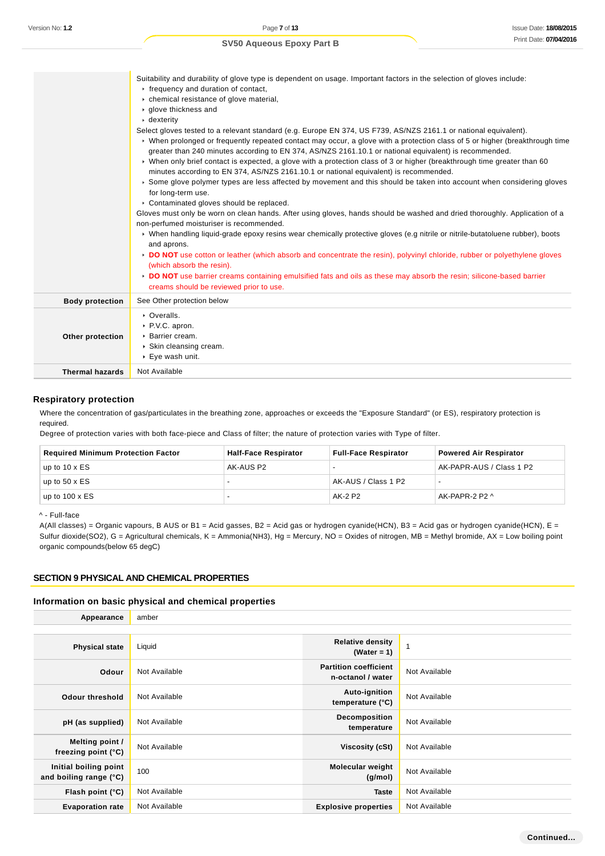### Suitability and durability of glove type is dependent on usage. Important factors in the selection of gloves include:  $\blacktriangleright$  frequency and duration of contact, chemical resistance of glove material, glove thickness and dexterity Select gloves tested to a relevant standard (e.g. Europe EN 374, US F739, AS/NZS 2161.1 or national equivalent). When prolonged or frequently repeated contact may occur, a glove with a protection class of 5 or higher (breakthrough time greater than 240 minutes according to EN 374, AS/NZS 2161.10.1 or national equivalent) is recommended. When only brief contact is expected, a glove with a protection class of 3 or higher (breakthrough time greater than 60 minutes according to EN 374, AS/NZS 2161.10.1 or national equivalent) is recommended. Some glove polymer types are less affected by movement and this should be taken into account when considering gloves for long-term use. ▶ Contaminated gloves should be replaced. Gloves must only be worn on clean hands. After using gloves, hands should be washed and dried thoroughly. Application of a non-perfumed moisturiser is recommended. When handling liquid-grade epoxy resins wear chemically protective gloves (e.g nitrile or nitrile-butatoluene rubber), boots and aprons. **DO NOT** use cotton or leather (which absorb and concentrate the resin), polyvinyl chloride, rubber or polyethylene gloves (which absorb the resin). **DO NOT** use barrier creams containing emulsified fats and oils as these may absorb the resin; silicone-based barrier creams should be reviewed prior to use. **Body protection** See Other protection below **Other protection** ▶ Overalls. ▶ P.V.C. apron. Barrier cream. Skin cleansing cream. ▶ Eve wash unit. **Thermal hazards** Not Available

### **Respiratory protection**

Where the concentration of gas/particulates in the breathing zone, approaches or exceeds the "Exposure Standard" (or ES), respiratory protection is required.

Degree of protection varies with both face-piece and Class of filter; the nature of protection varies with Type of filter.

| <b>Required Minimum Protection Factor</b> | <b>Half-Face Respirator</b> | <b>Full-Face Respirator</b> | <b>Powered Air Respirator</b> |
|-------------------------------------------|-----------------------------|-----------------------------|-------------------------------|
| up to $10 \times ES$                      | AK-AUS P2                   |                             | AK-PAPR-AUS / Class 1 P2      |
| up to $50 \times ES$                      |                             | AK-AUS / Class 1 P2         |                               |
| up to $100 \times ES$                     |                             | AK-2 P2                     | AK-PAPR-2 P2 ^                |

^ - Full-face

A(All classes) = Organic vapours, B AUS or B1 = Acid gasses, B2 = Acid gas or hydrogen cyanide(HCN), B3 = Acid gas or hydrogen cyanide(HCN), E = Sulfur dioxide(SO2), G = Agricultural chemicals, K = Ammonia(NH3), Hg = Mercury, NO = Oxides of nitrogen, MB = Methyl bromide, AX = Low boiling point organic compounds(below 65 degC)

### **SECTION 9 PHYSICAL AND CHEMICAL PROPERTIES**

### **Information on basic physical and chemical properties**

| Appearance                                      | amber         |                                                   |               |
|-------------------------------------------------|---------------|---------------------------------------------------|---------------|
|                                                 |               |                                                   |               |
| <b>Physical state</b>                           | Liquid        | <b>Relative density</b><br>(Water = 1)            |               |
| Odour                                           | Not Available | <b>Partition coefficient</b><br>n-octanol / water | Not Available |
| <b>Odour threshold</b>                          | Not Available | Auto-ignition<br>temperature (°C)                 | Not Available |
| pH (as supplied)                                | Not Available | <b>Decomposition</b><br>temperature               | Not Available |
| Melting point /<br>freezing point $(°C)$        | Not Available | Viscosity (cSt)                                   | Not Available |
| Initial boiling point<br>and boiling range (°C) | 100           | <b>Molecular weight</b><br>(g/mol)                | Not Available |
| Flash point $(°C)$                              | Not Available | <b>Taste</b>                                      | Not Available |
| <b>Evaporation rate</b>                         | Not Available | <b>Explosive properties</b>                       | Not Available |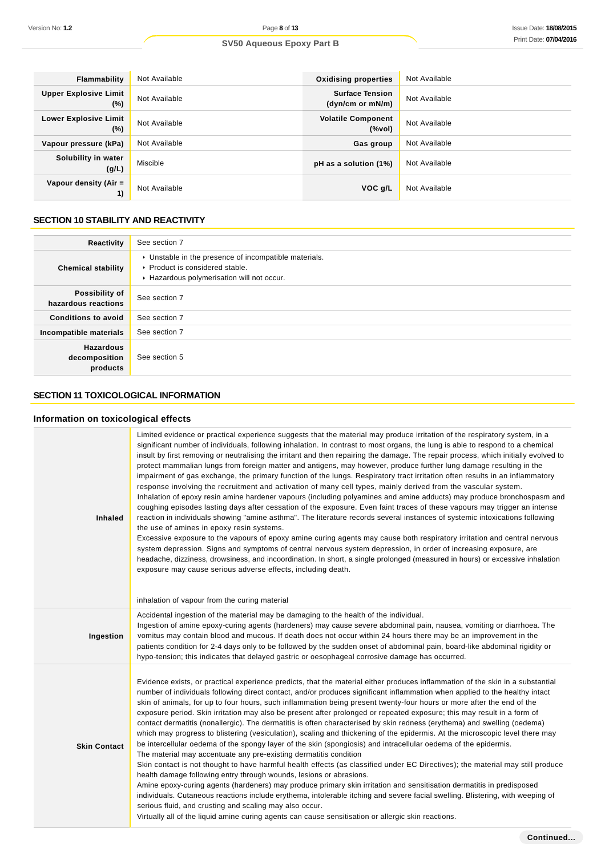| Flammability                           | Not Available | <b>Oxidising properties</b>                | Not Available |
|----------------------------------------|---------------|--------------------------------------------|---------------|
| <b>Upper Explosive Limit</b><br>$(\%)$ | Not Available | <b>Surface Tension</b><br>(dyn/cm or mN/m) | Not Available |
| <b>Lower Explosive Limit</b><br>$(\%)$ | Not Available | <b>Volatile Component</b><br>(%            | Not Available |
| Vapour pressure (kPa)                  | Not Available | Gas group                                  | Not Available |
| Solubility in water<br>(g/L)           | Miscible      | pH as a solution (1%)                      | Not Available |
| Vapour density (Air =<br>1)            | Not Available | VOC g/L                                    | Not Available |

# **SECTION 10 STABILITY AND REACTIVITY**

| Reactivity                                    | See section 7                                                                                                                        |
|-----------------------------------------------|--------------------------------------------------------------------------------------------------------------------------------------|
| <b>Chemical stability</b>                     | • Unstable in the presence of incompatible materials.<br>▶ Product is considered stable.<br>Hazardous polymerisation will not occur. |
| Possibility of<br>hazardous reactions         | See section 7                                                                                                                        |
| <b>Conditions to avoid</b>                    | See section 7                                                                                                                        |
| Incompatible materials                        | See section 7                                                                                                                        |
| <b>Hazardous</b><br>decomposition<br>products | See section 5                                                                                                                        |

# **SECTION 11 TOXICOLOGICAL INFORMATION**

# **Information on toxicological effects**

| <b>Inhaled</b>      | Limited evidence or practical experience suggests that the material may produce irritation of the respiratory system, in a<br>significant number of individuals, following inhalation. In contrast to most organs, the lung is able to respond to a chemical<br>insult by first removing or neutralising the irritant and then repairing the damage. The repair process, which initially evolved to<br>protect mammalian lungs from foreign matter and antigens, may however, produce further lung damage resulting in the<br>impairment of gas exchange, the primary function of the lungs. Respiratory tract irritation often results in an inflammatory<br>response involving the recruitment and activation of many cell types, mainly derived from the vascular system.<br>Inhalation of epoxy resin amine hardener vapours (including polyamines and amine adducts) may produce bronchospasm and<br>coughing episodes lasting days after cessation of the exposure. Even faint traces of these vapours may trigger an intense<br>reaction in individuals showing "amine asthma". The literature records several instances of systemic intoxications following<br>the use of amines in epoxy resin systems.<br>Excessive exposure to the vapours of epoxy amine curing agents may cause both respiratory irritation and central nervous<br>system depression. Signs and symptoms of central nervous system depression, in order of increasing exposure, are<br>headache, dizziness, drowsiness, and incoordination. In short, a single prolonged (measured in hours) or excessive inhalation<br>exposure may cause serious adverse effects, including death.<br>inhalation of vapour from the curing material |
|---------------------|--------------------------------------------------------------------------------------------------------------------------------------------------------------------------------------------------------------------------------------------------------------------------------------------------------------------------------------------------------------------------------------------------------------------------------------------------------------------------------------------------------------------------------------------------------------------------------------------------------------------------------------------------------------------------------------------------------------------------------------------------------------------------------------------------------------------------------------------------------------------------------------------------------------------------------------------------------------------------------------------------------------------------------------------------------------------------------------------------------------------------------------------------------------------------------------------------------------------------------------------------------------------------------------------------------------------------------------------------------------------------------------------------------------------------------------------------------------------------------------------------------------------------------------------------------------------------------------------------------------------------------------------------------------------------------------------------------------------|
| Ingestion           | Accidental ingestion of the material may be damaging to the health of the individual.<br>Ingestion of amine epoxy-curing agents (hardeners) may cause severe abdominal pain, nausea, vomiting or diarrhoea. The<br>vomitus may contain blood and mucous. If death does not occur within 24 hours there may be an improvement in the<br>patients condition for 2-4 days only to be followed by the sudden onset of abdominal pain, board-like abdominal rigidity or<br>hypo-tension; this indicates that delayed gastric or oesophageal corrosive damage has occurred.                                                                                                                                                                                                                                                                                                                                                                                                                                                                                                                                                                                                                                                                                                                                                                                                                                                                                                                                                                                                                                                                                                                                              |
| <b>Skin Contact</b> | Evidence exists, or practical experience predicts, that the material either produces inflammation of the skin in a substantial<br>number of individuals following direct contact, and/or produces significant inflammation when applied to the healthy intact<br>skin of animals, for up to four hours, such inflammation being present twenty-four hours or more after the end of the<br>exposure period. Skin irritation may also be present after prolonged or repeated exposure; this may result in a form of<br>contact dermatitis (nonallergic). The dermatitis is often characterised by skin redness (erythema) and swelling (oedema)<br>which may progress to blistering (vesiculation), scaling and thickening of the epidermis. At the microscopic level there may<br>be intercellular oedema of the spongy layer of the skin (spongiosis) and intracellular oedema of the epidermis.<br>The material may accentuate any pre-existing dermatitis condition<br>Skin contact is not thought to have harmful health effects (as classified under EC Directives); the material may still produce<br>health damage following entry through wounds, lesions or abrasions.<br>Amine epoxy-curing agents (hardeners) may produce primary skin irritation and sensitisation dermatitis in predisposed<br>individuals. Cutaneous reactions include erythema, intolerable itching and severe facial swelling. Blistering, with weeping of<br>serious fluid, and crusting and scaling may also occur.<br>Virtually all of the liquid amine curing agents can cause sensitisation or allergic skin reactions.                                                                                                        |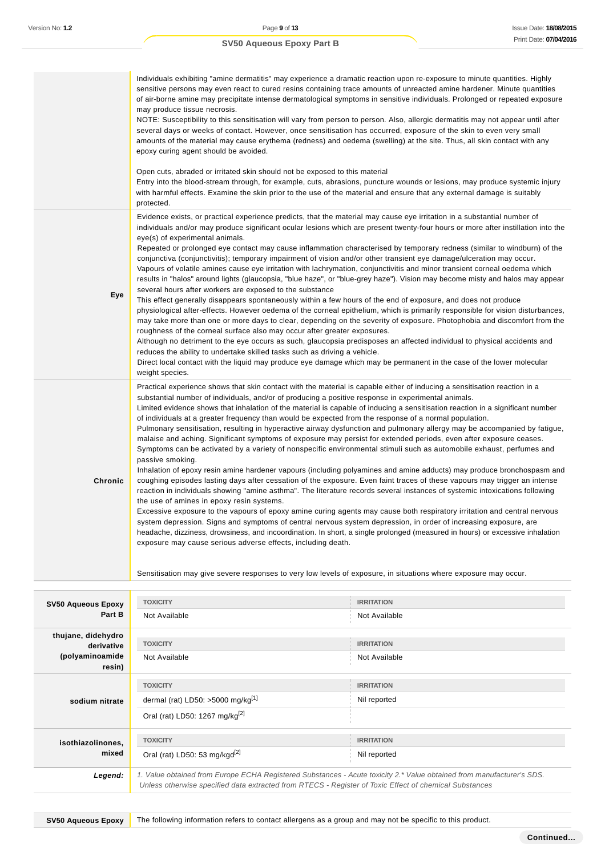|                | Individuals exhibiting "amine dermatitis" may experience a dramatic reaction upon re-exposure to minute quantities. Highly<br>sensitive persons may even react to cured resins containing trace amounts of unreacted amine hardener. Minute quantities<br>of air-borne amine may precipitate intense dermatological symptoms in sensitive individuals. Prolonged or repeated exposure<br>may produce tissue necrosis.<br>NOTE: Susceptibility to this sensitisation will vary from person to person. Also, allergic dermatitis may not appear until after<br>several days or weeks of contact. However, once sensitisation has occurred, exposure of the skin to even very small<br>amounts of the material may cause erythema (redness) and oedema (swelling) at the site. Thus, all skin contact with any<br>epoxy curing agent should be avoided.<br>Open cuts, abraded or irritated skin should not be exposed to this material<br>Entry into the blood-stream through, for example, cuts, abrasions, puncture wounds or lesions, may produce systemic injury<br>with harmful effects. Examine the skin prior to the use of the material and ensure that any external damage is suitably<br>protected.                                                                                                                                                                                                                                                                                                                                                                                                                                                                                                                                                        |
|----------------|-------------------------------------------------------------------------------------------------------------------------------------------------------------------------------------------------------------------------------------------------------------------------------------------------------------------------------------------------------------------------------------------------------------------------------------------------------------------------------------------------------------------------------------------------------------------------------------------------------------------------------------------------------------------------------------------------------------------------------------------------------------------------------------------------------------------------------------------------------------------------------------------------------------------------------------------------------------------------------------------------------------------------------------------------------------------------------------------------------------------------------------------------------------------------------------------------------------------------------------------------------------------------------------------------------------------------------------------------------------------------------------------------------------------------------------------------------------------------------------------------------------------------------------------------------------------------------------------------------------------------------------------------------------------------------------------------------------------------------------------------------------------|
| Eye            | Evidence exists, or practical experience predicts, that the material may cause eye irritation in a substantial number of<br>individuals and/or may produce significant ocular lesions which are present twenty-four hours or more after instillation into the<br>eye(s) of experimental animals.<br>Repeated or prolonged eye contact may cause inflammation characterised by temporary redness (similar to windburn) of the<br>conjunctiva (conjunctivitis); temporary impairment of vision and/or other transient eye damage/ulceration may occur.<br>Vapours of volatile amines cause eye irritation with lachrymation, conjunctivitis and minor transient corneal oedema which<br>results in "halos" around lights (glaucopsia, "blue haze", or "blue-grey haze"). Vision may become misty and halos may appear<br>several hours after workers are exposed to the substance<br>This effect generally disappears spontaneously within a few hours of the end of exposure, and does not produce<br>physiological after-effects. However oedema of the corneal epithelium, which is primarily responsible for vision disturbances,<br>may take more than one or more days to clear, depending on the severity of exposure. Photophobia and discomfort from the<br>roughness of the corneal surface also may occur after greater exposures.<br>Although no detriment to the eye occurs as such, glaucopsia predisposes an affected individual to physical accidents and<br>reduces the ability to undertake skilled tasks such as driving a vehicle.<br>Direct local contact with the liquid may produce eye damage which may be permanent in the case of the lower molecular<br>weight species.                                                                  |
| <b>Chronic</b> | Practical experience shows that skin contact with the material is capable either of inducing a sensitisation reaction in a<br>substantial number of individuals, and/or of producing a positive response in experimental animals.<br>Limited evidence shows that inhalation of the material is capable of inducing a sensitisation reaction in a significant number<br>of individuals at a greater frequency than would be expected from the response of a normal population.<br>Pulmonary sensitisation, resulting in hyperactive airway dysfunction and pulmonary allergy may be accompanied by fatigue,<br>malaise and aching. Significant symptoms of exposure may persist for extended periods, even after exposure ceases.<br>Symptoms can be activated by a variety of nonspecific environmental stimuli such as automobile exhaust, perfumes and<br>passive smoking.<br>Inhalation of epoxy resin amine hardener vapours (including polyamines and amine adducts) may produce bronchospasm and<br>coughing episodes lasting days after cessation of the exposure. Even faint traces of these vapours may trigger an intense<br>reaction in individuals showing "amine asthma". The literature records several instances of systemic intoxications following<br>the use of amines in epoxy resin systems.<br>Excessive exposure to the vapours of epoxy amine curing agents may cause both respiratory irritation and central nervous<br>system depression. Signs and symptoms of central nervous system depression, in order of increasing exposure, are<br>headache, dizziness, drowsiness, and incoordination. In short, a single prolonged (measured in hours) or excessive inhalation<br>exposure may cause serious adverse effects, including death. |

Sensitisation may give severe responses to very low levels of exposure, in situations where exposure may occur.

| <b>SV50 Aqueous Epoxy</b><br>Part B                           | <b>TOXICITY</b><br>Not Available                                                                                                                                                                                                | <b>IRRITATION</b><br>Not Available |
|---------------------------------------------------------------|---------------------------------------------------------------------------------------------------------------------------------------------------------------------------------------------------------------------------------|------------------------------------|
| thujane, didehydro<br>derivative<br>(polyaminoamide<br>resin) | <b>TOXICITY</b><br>Not Available                                                                                                                                                                                                | <b>IRRITATION</b><br>Not Available |
| sodium nitrate                                                | <b>TOXICITY</b><br>dermal (rat) LD50: $>5000$ mg/kg <sup>[1]</sup><br>Oral (rat) LD50: 1267 mg/kg <sup>[2]</sup>                                                                                                                | <b>IRRITATION</b><br>Nil reported  |
| isothiazolinones,<br>mixed                                    | <b>TOXICITY</b><br>Oral (rat) LD50: 53 mg/kgd <sup>[2]</sup>                                                                                                                                                                    | <b>IRRITATION</b><br>Nil reported  |
| Legend:                                                       | 1. Value obtained from Europe ECHA Registered Substances - Acute toxicity 2.* Value obtained from manufacturer's SDS.<br>Unless otherwise specified data extracted from RTECS - Register of Toxic Effect of chemical Substances |                                    |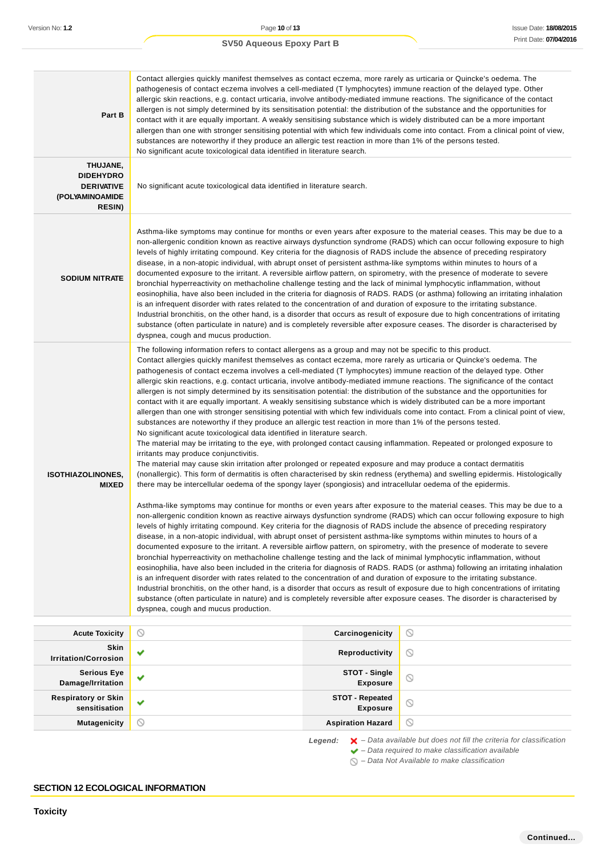### **Part B** Contact allergies quickly manifest themselves as contact eczema, more rarely as urticaria or Quincke's oedema. The pathogenesis of contact eczema involves a cell-mediated (T lymphocytes) immune reaction of the delayed type. Other allergic skin reactions, e.g. contact urticaria, involve antibody-mediated immune reactions. The significance of the contact allergen is not simply determined by its sensitisation potential: the distribution of the substance and the opportunities for contact with it are equally important. A weakly sensitising substance which is widely distributed can be a more important allergen than one with stronger sensitising potential with which few individuals come into contact. From a clinical point of view, substances are noteworthy if they produce an allergic test reaction in more than 1% of the persons tested. No significant acute toxicological data identified in literature search. **THUJANE, DIDEHYDRO DERIVATIVE (POLYAMINOAMIDE RESIN)** No significant acute toxicological data identified in literature search. **SODIUM NITRATE** Asthma-like symptoms may continue for months or even years after exposure to the material ceases. This may be due to a non-allergenic condition known as reactive airways dysfunction syndrome (RADS) which can occur following exposure to high levels of highly irritating compound. Key criteria for the diagnosis of RADS include the absence of preceding respiratory disease, in a non-atopic individual, with abrupt onset of persistent asthma-like symptoms within minutes to hours of a documented exposure to the irritant. A reversible airflow pattern, on spirometry, with the presence of moderate to severe bronchial hyperreactivity on methacholine challenge testing and the lack of minimal lymphocytic inflammation, without eosinophilia, have also been included in the criteria for diagnosis of RADS. RADS (or asthma) following an irritating inhalation is an infrequent disorder with rates related to the concentration of and duration of exposure to the irritating substance. Industrial bronchitis, on the other hand, is a disorder that occurs as result of exposure due to high concentrations of irritating substance (often particulate in nature) and is completely reversible after exposure ceases. The disorder is characterised by dyspnea, cough and mucus production. **ISOTHIAZOLINONES, MIXED** The following information refers to contact allergens as a group and may not be specific to this product. Contact allergies quickly manifest themselves as contact eczema, more rarely as urticaria or Quincke's oedema. The pathogenesis of contact eczema involves a cell-mediated (T lymphocytes) immune reaction of the delayed type. Other allergic skin reactions, e.g. contact urticaria, involve antibody-mediated immune reactions. The significance of the contact allergen is not simply determined by its sensitisation potential: the distribution of the substance and the opportunities for contact with it are equally important. A weakly sensitising substance which is widely distributed can be a more important allergen than one with stronger sensitising potential with which few individuals come into contact. From a clinical point of view, substances are noteworthy if they produce an allergic test reaction in more than 1% of the persons tested. No significant acute toxicological data identified in literature search. The material may be irritating to the eye, with prolonged contact causing inflammation. Repeated or prolonged exposure to irritants may produce conjunctivitis. The material may cause skin irritation after prolonged or repeated exposure and may produce a contact dermatitis (nonallergic). This form of dermatitis is often characterised by skin redness (erythema) and swelling epidermis. Histologically there may be intercellular oedema of the spongy layer (spongiosis) and intracellular oedema of the epidermis. Asthma-like symptoms may continue for months or even years after exposure to the material ceases. This may be due to a non-allergenic condition known as reactive airways dysfunction syndrome (RADS) which can occur following exposure to high levels of highly irritating compound. Key criteria for the diagnosis of RADS include the absence of preceding respiratory disease, in a non-atopic individual, with abrupt onset of persistent asthma-like symptoms within minutes to hours of a documented exposure to the irritant. A reversible airflow pattern, on spirometry, with the presence of moderate to severe bronchial hyperreactivity on methacholine challenge testing and the lack of minimal lymphocytic inflammation, without eosinophilia, have also been included in the criteria for diagnosis of RADS. RADS (or asthma) following an irritating inhalation is an infrequent disorder with rates related to the concentration of and duration of exposure to the irritating substance. Industrial bronchitis, on the other hand, is a disorder that occurs as result of exposure due to high concentrations of irritating substance (often particulate in nature) and is completely reversible after exposure ceases. The disorder is characterised by dyspnea, cough and mucus production. **Acute Toxicity Carcinogenicity**

| .                                           |              | --------------                            |                                                                                                                                                                                                                              |
|---------------------------------------------|--------------|-------------------------------------------|------------------------------------------------------------------------------------------------------------------------------------------------------------------------------------------------------------------------------|
| <b>Skin</b><br><b>Irritation/Corrosion</b>  | $\checkmark$ | Reproductivity                            | $\circledcirc$                                                                                                                                                                                                               |
| <b>Serious Eye</b><br>Damage/Irritation     | ✔            | STOT - Single<br><b>Exposure</b>          | $\odot$                                                                                                                                                                                                                      |
| <b>Respiratory or Skin</b><br>sensitisation | $\checkmark$ | <b>STOT - Repeated</b><br><b>Exposure</b> | $\circ$                                                                                                                                                                                                                      |
| <b>Mutagenicity</b>                         | $\circ$      | <b>Aspiration Hazard</b>                  | $\circledcirc$                                                                                                                                                                                                               |
|                                             |              | Legend:                                   | $\blacktriangleright$ - Data available but does not fill the criteria for classification<br>$\blacktriangleright$ - Data required to make classification available<br>$\bigcirc$ – Data Not Available to make classification |

### **SECTION 12 ECOLOGICAL INFORMATION**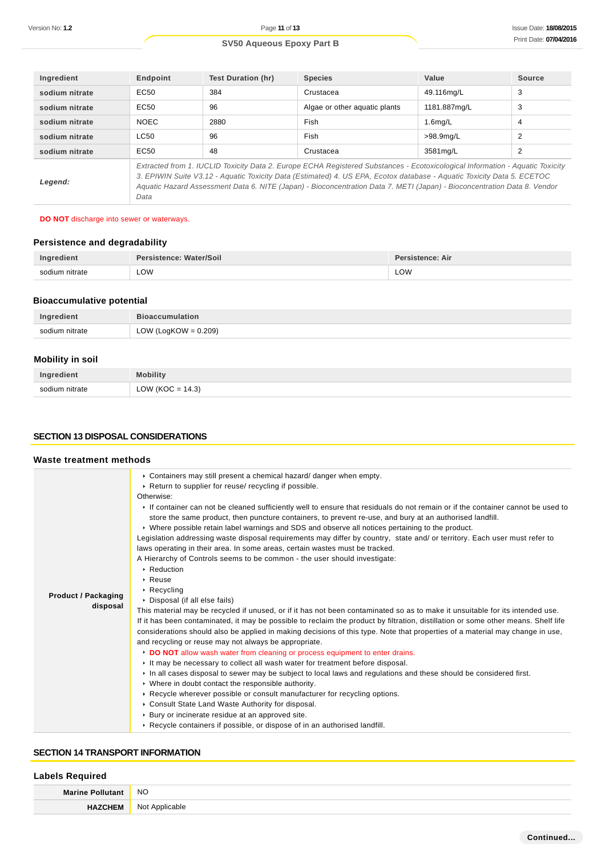| Ingredient     | Endpoint                                                                                                                                                                                                                                                                                                                                                                                    | <b>Test Duration (hr)</b> | <b>Species</b>                | Value        | Source         |
|----------------|---------------------------------------------------------------------------------------------------------------------------------------------------------------------------------------------------------------------------------------------------------------------------------------------------------------------------------------------------------------------------------------------|---------------------------|-------------------------------|--------------|----------------|
| sodium nitrate | EC <sub>50</sub>                                                                                                                                                                                                                                                                                                                                                                            | 384                       | Crustacea                     | 49.116mg/L   | 3              |
| sodium nitrate | EC <sub>50</sub>                                                                                                                                                                                                                                                                                                                                                                            | 96                        | Algae or other aguatic plants | 1181.887mg/L | 3              |
| sodium nitrate | <b>NOEC</b>                                                                                                                                                                                                                                                                                                                                                                                 | 2880                      | Fish                          | $1.6$ mg/L   | $\overline{4}$ |
| sodium nitrate | <b>LC50</b>                                                                                                                                                                                                                                                                                                                                                                                 | 96                        | Fish                          | >98.9mg/L    | 2              |
| sodium nitrate | EC <sub>50</sub>                                                                                                                                                                                                                                                                                                                                                                            | 48                        | Crustacea                     | 3581mg/L     | 2              |
| Legend:        | Extracted from 1. IUCLID Toxicity Data 2. Europe ECHA Registered Substances - Ecotoxicological Information - Aquatic Toxicity<br>3. EPIWIN Suite V3.12 - Aquatic Toxicity Data (Estimated) 4. US EPA, Ecotox database - Aquatic Toxicity Data 5. ECETOC<br>Aquatic Hazard Assessment Data 6. NITE (Japan) - Bioconcentration Data 7. METI (Japan) - Bioconcentration Data 8. Vendor<br>Data |                           |                               |              |                |

### **DO NOT** discharge into sewer or waterways.

# **Persistence and degradability**

|                                | Nater/Soil<br>Persistence: | stence: Air |
|--------------------------------|----------------------------|-------------|
| nitrate<br><b>SONILIM</b><br>. | LOW                        | LOW         |

# **Bioaccumulative potential**

| Ingredient     | <b>Bioaccumulation</b>  |
|----------------|-------------------------|
| sodium nitrate | LOW (LogKOW = $0.209$ ) |

# **Mobility in soil**

| Ingredient     | <b>Aobility</b>                  |
|----------------|----------------------------------|
| sodium nitrate | : 14.3)<br>$OW$ (KOC $=$<br>ັ∟ບ⊭ |

### **SECTION 13 DISPOSAL CONSIDERATIONS**

### **Waste treatment methods**

|                            | • Containers may still present a chemical hazard/ danger when empty.                                                                                                                                                                       |
|----------------------------|--------------------------------------------------------------------------------------------------------------------------------------------------------------------------------------------------------------------------------------------|
|                            | ▶ Return to supplier for reuse/ recycling if possible.                                                                                                                                                                                     |
|                            | Otherwise:                                                                                                                                                                                                                                 |
|                            | If container can not be cleaned sufficiently well to ensure that residuals do not remain or if the container cannot be used to<br>store the same product, then puncture containers, to prevent re-use, and bury at an authorised landfill. |
|                            | ► Where possible retain label warnings and SDS and observe all notices pertaining to the product.                                                                                                                                          |
|                            | Legislation addressing waste disposal requirements may differ by country, state and/ or territory. Each user must refer to                                                                                                                 |
|                            | laws operating in their area. In some areas, certain wastes must be tracked.                                                                                                                                                               |
|                            | A Hierarchy of Controls seems to be common - the user should investigate:                                                                                                                                                                  |
|                            | $\triangleright$ Reduction                                                                                                                                                                                                                 |
|                            | $\triangleright$ Reuse                                                                                                                                                                                                                     |
| <b>Product / Packaging</b> | $\triangleright$ Recycling                                                                                                                                                                                                                 |
| disposal                   | • Disposal (if all else fails)                                                                                                                                                                                                             |
|                            | This material may be recycled if unused, or if it has not been contaminated so as to make it unsuitable for its intended use.                                                                                                              |
|                            | If it has been contaminated, it may be possible to reclaim the product by filtration, distillation or some other means. Shelf life                                                                                                         |
|                            | considerations should also be applied in making decisions of this type. Note that properties of a material may change in use,                                                                                                              |
|                            | and recycling or reuse may not always be appropriate.                                                                                                                                                                                      |
|                            | DO NOT allow wash water from cleaning or process equipment to enter drains.                                                                                                                                                                |
|                            | If the may be necessary to collect all wash water for treatment before disposal.                                                                                                                                                           |
|                            | In all cases disposal to sewer may be subject to local laws and regulations and these should be considered first.                                                                                                                          |
|                            | • Where in doubt contact the responsible authority.                                                                                                                                                                                        |
|                            | ► Recycle wherever possible or consult manufacturer for recycling options.                                                                                                                                                                 |
|                            | • Consult State Land Waste Authority for disposal.                                                                                                                                                                                         |
|                            | ▶ Bury or incinerate residue at an approved site.                                                                                                                                                                                          |
|                            | ► Recycle containers if possible, or dispose of in an authorised landfill.                                                                                                                                                                 |
|                            |                                                                                                                                                                                                                                            |

### **SECTION 14 TRANSPORT INFORMATION**

# **Labels Required**

| $M_{21}$ | <b>NO</b>                   |
|----------|-----------------------------|
|          | N <sub>IO</sub><br>ınız<br> |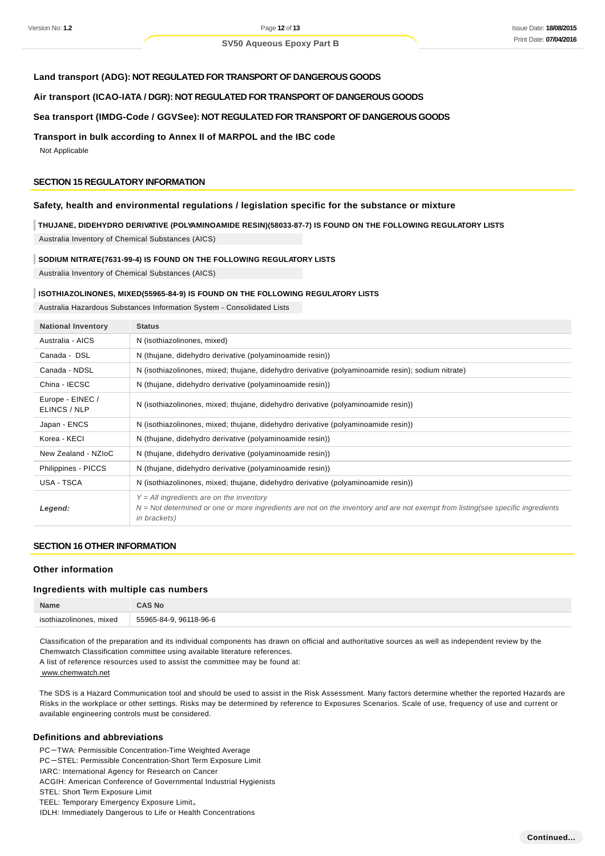### **Land transport (ADG): NOT REGULATED FOR TRANSPORT OF DANGEROUS GOODS**

**Air transport (ICAO-IATA / DGR): NOT REGULATED FOR TRANSPORT OF DANGEROUS GOODS**

### **Sea transport (IMDG-Code / GGVSee): NOT REGULATED FOR TRANSPORT OF DANGEROUS GOODS**

### **Transport in bulk according to Annex II of MARPOL and the IBC code**

Not Applicable

### **SECTION 15 REGULATORY INFORMATION**

# **Safety, health and environmental regulations / legislation specific for the substance or mixture**

### **THUJANE, DIDEHYDRO DERIVATIVE (POLYAMINOAMIDE RESIN)(58033-87-7) IS FOUND ON THE FOLLOWING REGULATORY LISTS**

Australia Inventory of Chemical Substances (AICS)

#### **SODIUM NITRATE(7631-99-4) IS FOUND ON THE FOLLOWING REGULATORY LISTS**

Australia Inventory of Chemical Substances (AICS)

#### **ISOTHIAZOLINONES, MIXED(55965-84-9) IS FOUND ON THE FOLLOWING REGULATORY LISTS**

Australia Hazardous Substances Information System - Consolidated Lists

| <b>National Inventory</b>        | <b>Status</b>                                                                                                                                                                                           |
|----------------------------------|---------------------------------------------------------------------------------------------------------------------------------------------------------------------------------------------------------|
| Australia - AICS                 | N (isothiazolinones, mixed)                                                                                                                                                                             |
| Canada - DSL                     | N (thujane, didehydro derivative (polyaminoamide resin))                                                                                                                                                |
| Canada - NDSL                    | N (isothiazolinones, mixed; thujane, didehydro derivative (polyaminoamide resin); sodium nitrate)                                                                                                       |
| China - IECSC                    | N (thujane, didehydro derivative (polyaminoamide resin))                                                                                                                                                |
| Europe - EINEC /<br>ELINCS / NLP | N (isothiazolinones, mixed; thujane, didehydro derivative (polyaminoamide resin))                                                                                                                       |
| Japan - ENCS                     | N (isothiazolinones, mixed; thujane, didehydro derivative (polyaminoamide resin))                                                                                                                       |
| Korea - KECI                     | N (thujane, didehydro derivative (polyaminoamide resin))                                                                                                                                                |
| New Zealand - NZIoC              | N (thujane, didehydro derivative (polyaminoamide resin))                                                                                                                                                |
| Philippines - PICCS              | N (thujane, didehydro derivative (polyaminoamide resin))                                                                                                                                                |
| USA - TSCA                       | N (isothiazolinones, mixed; thujane, didehydro derivative (polyaminoamide resin))                                                                                                                       |
| Legend:                          | $Y = All$ ingredients are on the inventory<br>$N = Not$ determined or one or more ingredients are not on the inventory and are not exempt from listing(see specific ingredients<br><i>in brackets</i> ) |

### **SECTION 16 OTHER INFORMATION**

### **Other information**

### **Ingredients with multiple cas numbers**

| Name                    | CAS No                 |
|-------------------------|------------------------|
| isothiazolinones, mixed | 55965-84-9, 96118-96-6 |

Classification of the preparation and its individual components has drawn on official and authoritative sources as well as independent review by the Chemwatch Classification committee using available literature references.

A list of reference resources used to assist the committee may be found at:

www.chemwatch.net

The SDS is a Hazard Communication tool and should be used to assist in the Risk Assessment. Many factors determine whether the reported Hazards are Risks in the workplace or other settings. Risks may be determined by reference to Exposures Scenarios. Scale of use, frequency of use and current or available engineering controls must be considered.

### **Definitions and abbreviations**

PC-TWA: Permissible Concentration-Time Weighted Average

PC-STEL: Permissible Concentration-Short Term Exposure Limit

IARC: International Agency for Research on Cancer

ACGIH: American Conference of Governmental Industrial Hygienists

STEL: Short Term Exposure Limit

TEEL: Temporary Emergency Exposure Limit。

IDLH: Immediately Dangerous to Life or Health Concentrations